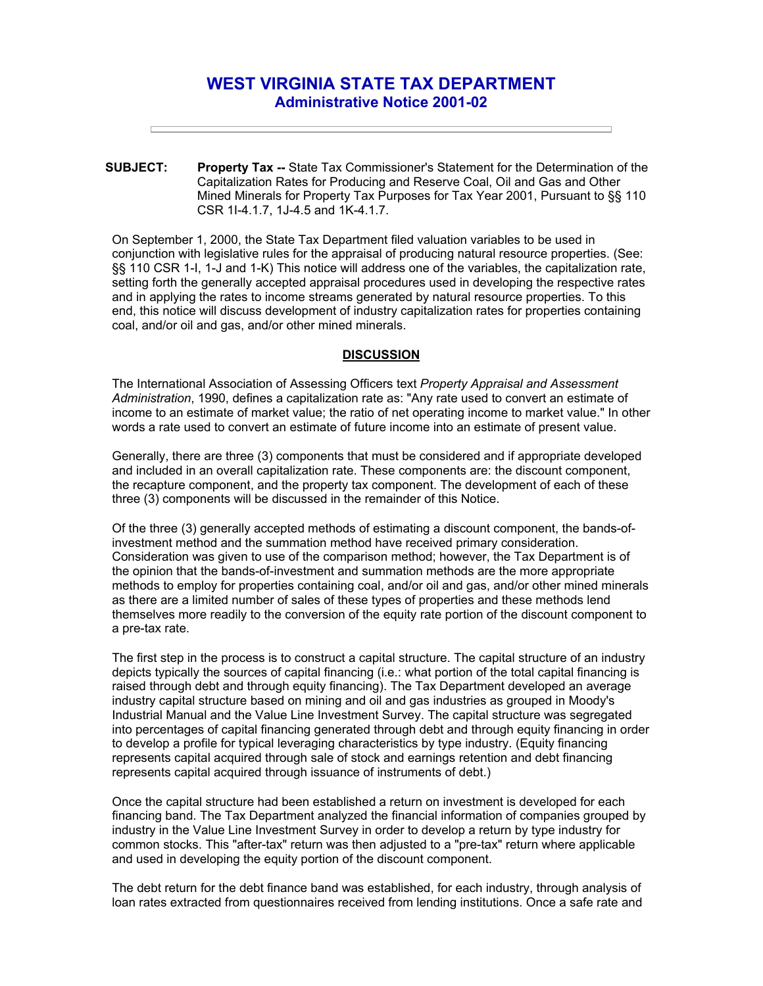# **WEST VIRGINIA STATE TAX DEPARTMENT Administrative Notice 2001-02**

**SUBJECT: Property Tax --** State Tax Commissioner's Statement for the Determination of the Capitalization Rates for Producing and Reserve Coal, Oil and Gas and Other Mined Minerals for Property Tax Purposes for Tax Year 2001, Pursuant to §§ 110 CSR 1I-4.1.7, 1J-4.5 and 1K-4.1.7.

On September 1, 2000, the State Tax Department filed valuation variables to be used in conjunction with legislative rules for the appraisal of producing natural resource properties. (See: §§ 110 CSR 1-I, 1-J and 1-K) This notice will address one of the variables, the capitalization rate, setting forth the generally accepted appraisal procedures used in developing the respective rates and in applying the rates to income streams generated by natural resource properties. To this end, this notice will discuss development of industry capitalization rates for properties containing coal, and/or oil and gas, and/or other mined minerals.

#### **DISCUSSION**

The International Association of Assessing Officers text *Property Appraisal and Assessment Administration*, 1990, defines a capitalization rate as: "Any rate used to convert an estimate of income to an estimate of market value; the ratio of net operating income to market value." In other words a rate used to convert an estimate of future income into an estimate of present value.

Generally, there are three (3) components that must be considered and if appropriate developed and included in an overall capitalization rate. These components are: the discount component, the recapture component, and the property tax component. The development of each of these three (3) components will be discussed in the remainder of this Notice.

Of the three (3) generally accepted methods of estimating a discount component, the bands-ofinvestment method and the summation method have received primary consideration. Consideration was given to use of the comparison method; however, the Tax Department is of the opinion that the bands-of-investment and summation methods are the more appropriate methods to employ for properties containing coal, and/or oil and gas, and/or other mined minerals as there are a limited number of sales of these types of properties and these methods lend themselves more readily to the conversion of the equity rate portion of the discount component to a pre-tax rate.

The first step in the process is to construct a capital structure. The capital structure of an industry depicts typically the sources of capital financing (i.e.: what portion of the total capital financing is raised through debt and through equity financing). The Tax Department developed an average industry capital structure based on mining and oil and gas industries as grouped in Moody's Industrial Manual and the Value Line Investment Survey. The capital structure was segregated into percentages of capital financing generated through debt and through equity financing in order to develop a profile for typical leveraging characteristics by type industry. (Equity financing represents capital acquired through sale of stock and earnings retention and debt financing represents capital acquired through issuance of instruments of debt.)

Once the capital structure had been established a return on investment is developed for each financing band. The Tax Department analyzed the financial information of companies grouped by industry in the Value Line Investment Survey in order to develop a return by type industry for common stocks. This "after-tax" return was then adjusted to a "pre-tax" return where applicable and used in developing the equity portion of the discount component.

The debt return for the debt finance band was established, for each industry, through analysis of loan rates extracted from questionnaires received from lending institutions. Once a safe rate and